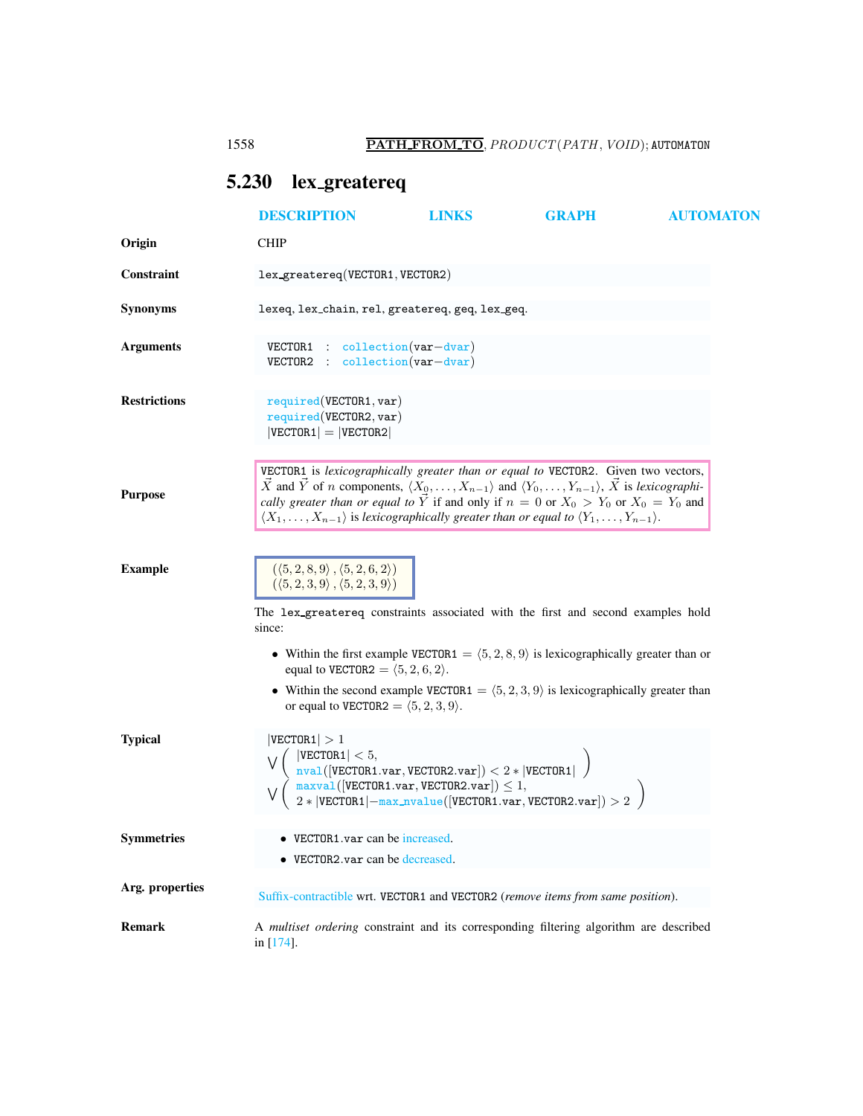# <span id="page-0-0"></span>5.230 lex greatereq

|                     | <b>DESCRIPTION</b>                                                                                                                                                                                                                                                                                                                                                                                                                                                                  | <b>LINKS</b>                                                                           | <b>GRAPH</b>                                                                                                                                                                                                                                                                                                                                                                                                                                                                                                     | <b>AUTOMATON</b> |  |
|---------------------|-------------------------------------------------------------------------------------------------------------------------------------------------------------------------------------------------------------------------------------------------------------------------------------------------------------------------------------------------------------------------------------------------------------------------------------------------------------------------------------|----------------------------------------------------------------------------------------|------------------------------------------------------------------------------------------------------------------------------------------------------------------------------------------------------------------------------------------------------------------------------------------------------------------------------------------------------------------------------------------------------------------------------------------------------------------------------------------------------------------|------------------|--|
| Origin              | <b>CHIP</b>                                                                                                                                                                                                                                                                                                                                                                                                                                                                         |                                                                                        |                                                                                                                                                                                                                                                                                                                                                                                                                                                                                                                  |                  |  |
| Constraint          | lex_greatereq(VECTOR1, VECTOR2)                                                                                                                                                                                                                                                                                                                                                                                                                                                     |                                                                                        |                                                                                                                                                                                                                                                                                                                                                                                                                                                                                                                  |                  |  |
| <b>Synonyms</b>     | lexeq, lex_chain, rel, greatereq, geq, lex_geq.                                                                                                                                                                                                                                                                                                                                                                                                                                     |                                                                                        |                                                                                                                                                                                                                                                                                                                                                                                                                                                                                                                  |                  |  |
| <b>Arguments</b>    | $VECTOR1$ : collection (var-dvar)<br>$\therefore$ collection (var-dvar)<br>VECTOR2                                                                                                                                                                                                                                                                                                                                                                                                  |                                                                                        |                                                                                                                                                                                                                                                                                                                                                                                                                                                                                                                  |                  |  |
| <b>Restrictions</b> | required(VECTOR1, var)<br>required(VECTOR2, var)<br>$ VECTOR1  =  VECTOR2 $                                                                                                                                                                                                                                                                                                                                                                                                         |                                                                                        |                                                                                                                                                                                                                                                                                                                                                                                                                                                                                                                  |                  |  |
| <b>Purpose</b>      | VECTOR1 is lexicographically greater than or equal to VECTOR2. Given two vectors,<br>$\vec{X}$ and $\vec{Y}$ of <i>n</i> components, $\langle X_0, \ldots, X_{n-1} \rangle$ and $\langle Y_0, \ldots, Y_{n-1} \rangle$ , $\vec{X}$ is lexicographi-<br>cally greater than or equal to $\vec{Y}$ if and only if $n = 0$ or $X_0 > Y_0$ or $X_0 = Y_0$ and<br>$\langle X_1,\ldots,X_{n-1}\rangle$ is lexicographically greater than or equal to $\langle Y_1,\ldots,Y_{n-1}\rangle$ . |                                                                                        |                                                                                                                                                                                                                                                                                                                                                                                                                                                                                                                  |                  |  |
| <b>Example</b>      | $(\langle 5, 2, 8, 9 \rangle, \langle 5, 2, 6, 2 \rangle)$<br>$(\langle 5,2,3,9 \rangle, \langle 5,2,3,9 \rangle)$<br>The lex_greatereq constraints associated with the first and second examples hold<br>since:                                                                                                                                                                                                                                                                    |                                                                                        |                                                                                                                                                                                                                                                                                                                                                                                                                                                                                                                  |                  |  |
|                     | equal to VECTOR2 = $\langle 5, 2, 6, 2 \rangle$ .<br>or equal to VECTOR2 = $\langle 5, 2, 3, 9 \rangle$ .                                                                                                                                                                                                                                                                                                                                                                           |                                                                                        | • Within the first example VECTOR1 = $(5, 2, 8, 9)$ is lexicographically greater than or<br>• Within the second example VECTOR1 = $(5, 2, 3, 9)$ is lexicographically greater than                                                                                                                                                                                                                                                                                                                               |                  |  |
| <b>Typical</b>      | VECTOR1  > 1<br>$ \texttt{VECTOR1}  < 5,$                                                                                                                                                                                                                                                                                                                                                                                                                                           |                                                                                        | $\begin{array}{l} \left(\texttt{VECTOR1} \setminus \cdot \right), \\ \texttt{nval} \left(\left[\texttt{VECTOR1} \cdot \texttt{var}, \texttt{VECTOR2} \cdot \texttt{var}\right]\right) < 2 * \left \texttt{VECTOR1} \right  \\ \texttt{maxval} \left(\left[\texttt{VECTOR1} \cdot \texttt{var}, \texttt{VECTOR2} \cdot \texttt{var}\right]\right) < 1, \\ 2 * \left \texttt{VECTOR1} \right  - \texttt{max\_nvalue} \left(\left[\texttt{VECTOR1} \cdot \texttt{var}, \texttt{VECTOR2} \cdot \texttt{var}\right]\$ |                  |  |
| <b>Symmetries</b>   |                                                                                                                                                                                                                                                                                                                                                                                                                                                                                     | $\bullet$ VECTOR1 var can be increased.<br>• VECTOR2.var can be decreased.             |                                                                                                                                                                                                                                                                                                                                                                                                                                                                                                                  |                  |  |
| Arg. properties     |                                                                                                                                                                                                                                                                                                                                                                                                                                                                                     | Suffix-contractible wrt. VECTOR1 and VECTOR2 (remove items from same position).        |                                                                                                                                                                                                                                                                                                                                                                                                                                                                                                                  |                  |  |
| <b>Remark</b>       | in [174].                                                                                                                                                                                                                                                                                                                                                                                                                                                                           | A multiset ordering constraint and its corresponding filtering algorithm are described |                                                                                                                                                                                                                                                                                                                                                                                                                                                                                                                  |                  |  |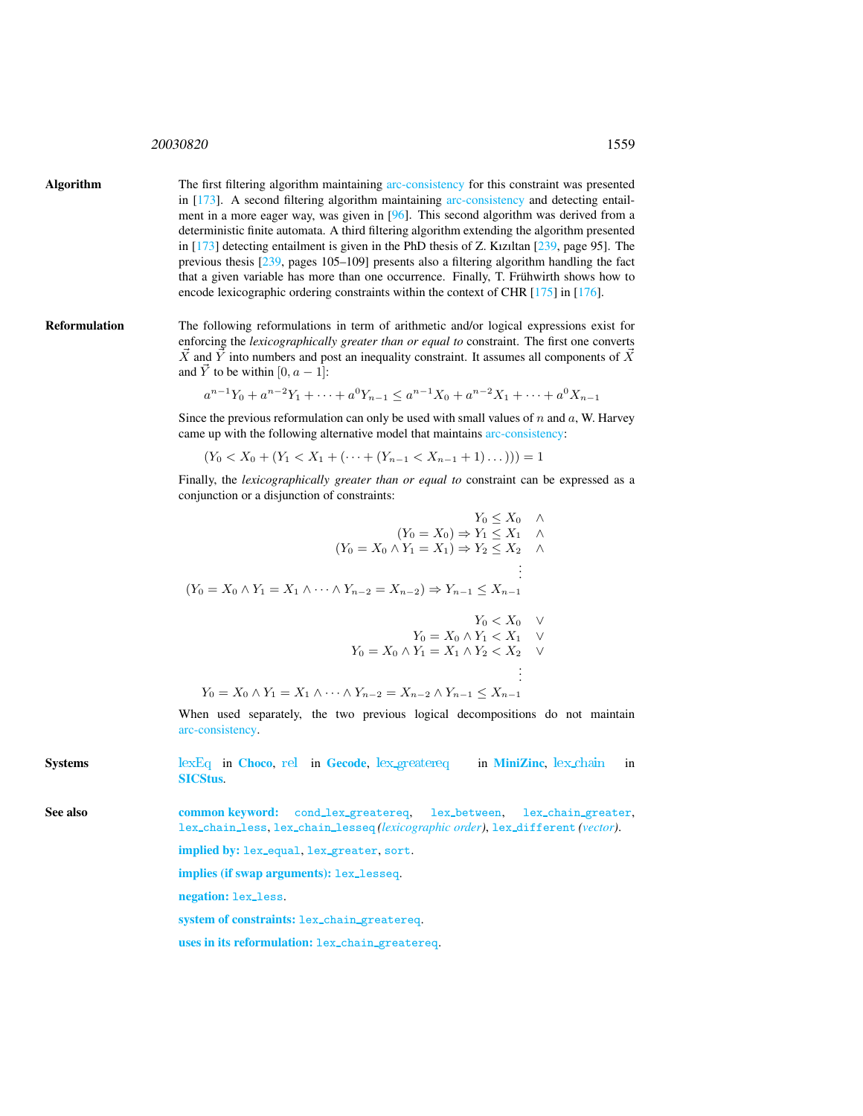## <sup>20030820</sup> 1559

Algorithm The first filtering algorithm maintaining arc-consistency for this constraint was presented in [173]. A second filtering algorithm maintaining arc-consistency and detecting entailment in a more eager way, was given in [96]. This second algorithm was derived from a deterministic finite automata. A third filtering algorithm extending the algorithm presented in [173] detecting entailment is given in the PhD thesis of Z. Kızıltan [239, page 95]. The previous thesis [239, pages 105–109] presents also a filtering algorithm handling the fact that a given variable has more than one occurrence. Finally, T. Frühwirth shows how to encode lexicographic ordering constraints within the context of CHR [175] in [176].

Reformulation The following reformulations in term of arithmetic and/or logical expressions exist for enforcing the *lexicographically greater than or equal to* constraint. The first one converts  $\vec{X}$  and  $\vec{Y}$  into numbers and post an inequality constraint. It assumes all components of  $\vec{X}$ and  $\vec{Y}$  to be within [0,  $a - 1$ ]:

$$
a^{n-1}Y_0 + a^{n-2}Y_1 + \dots + a^0Y_{n-1} \le a^{n-1}X_0 + a^{n-2}X_1 + \dots + a^0X_{n-1}
$$

Since the previous reformulation can only be used with small values of  $n$  and  $a$ , W. Harvey came up with the following alternative model that maintains arc-consistency:

$$
(Y_0 < X_0 + (Y_1 < X_1 + (\dots + (Y_{n-1} < X_{n-1} + 1) \dots))) = 1
$$

Finally, the *lexicographically greater than or equal to* constraint can be expressed as a conjunction or a disjunction of constraints:

$$
Y_0 \le X_0 \quad \wedge
$$
  
\n
$$
(Y_0 = X_0) \Rightarrow Y_1 \le X_1 \quad \wedge
$$
  
\n
$$
(Y_0 = X_0 \land Y_1 = X_1) \Rightarrow Y_2 \le X_2 \quad \wedge
$$
  
\n
$$
\vdots
$$
  
\n
$$
(Y_0 = X_0 \land Y_1 = X_1 \land \dots \land Y_{n-2} = X_{n-2}) \Rightarrow Y_{n-1} \le X_{n-1}
$$
  
\n
$$
Y_0 < X_0 \quad \vee
$$

$$
Y_0 = X_0 \wedge Y_1 < X_1 \quad \vee \\
Y_0 = X_0 \wedge Y_1 = X_1 \wedge Y_2 < X_2 \quad \vee \\
\vdots
$$

$$
Y_0 = X_0 \wedge Y_1 = X_1 \wedge \dots \wedge Y_{n-2} = X_{n-2} \wedge Y_{n-1} \le X_{n-1}
$$

When used separately, the two previous logical decompositions do not maintain arc-consistency.

<span id="page-1-0"></span>Systems [lexEq](http://www.emn.fr/z-info/choco-solver/tex/documentation/choco-doc.pdf) in [Choco](http://choco.emn.fr/), [rel](http://www.gecode.org/doc/3.7.0/reference/group__TaskModelIntRelInt.html) in [Gecode](http://www.gecode.org/), lex greatered in [MiniZinc](http://www.g12.cs.mu.oz.au/minizinc/), lex chain in [SICStus](http://www.sics.se/sicstus/). See also common keyword: cond lex greatereq, lex between, lex chain greater, lex chain less, lex chain lesseq *(lexicographic order)*, lex different *(vector)*. implied by: lex\_equal, lex\_greater, sort. implies (if swap arguments): lex lesseq. negation: lex less. system of constraints: lex chain greatereq.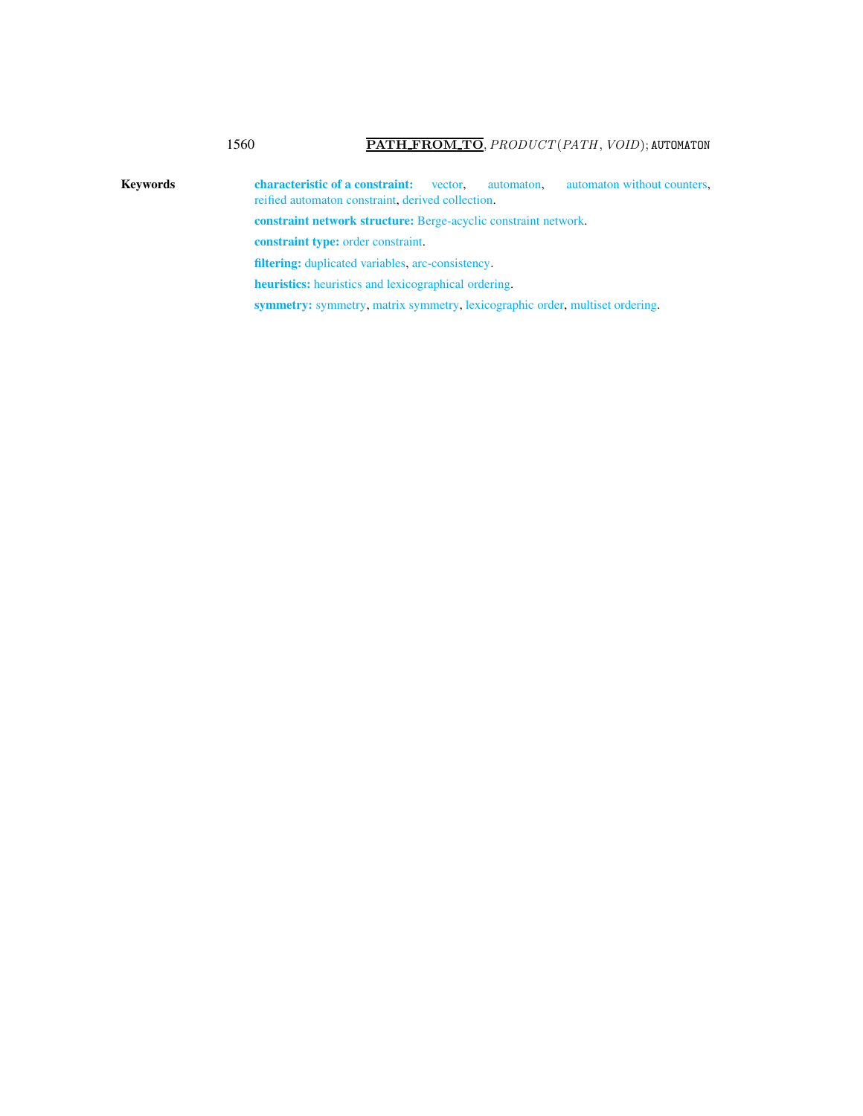# 1560 PATH\_FROM\_TO, PRODUCT(PATH, VOID); AUTOMATON

Keywords characteristic of a constraint: vector, automaton, automaton without counters, reified automaton constraint, derived collection. constraint network structure: Berge-acyclic constraint network. constraint type: order constraint. filtering: duplicated variables, arc-consistency. heuristics: heuristics and lexicographical ordering.

symmetry: symmetry, matrix symmetry, lexicographic order, multiset ordering.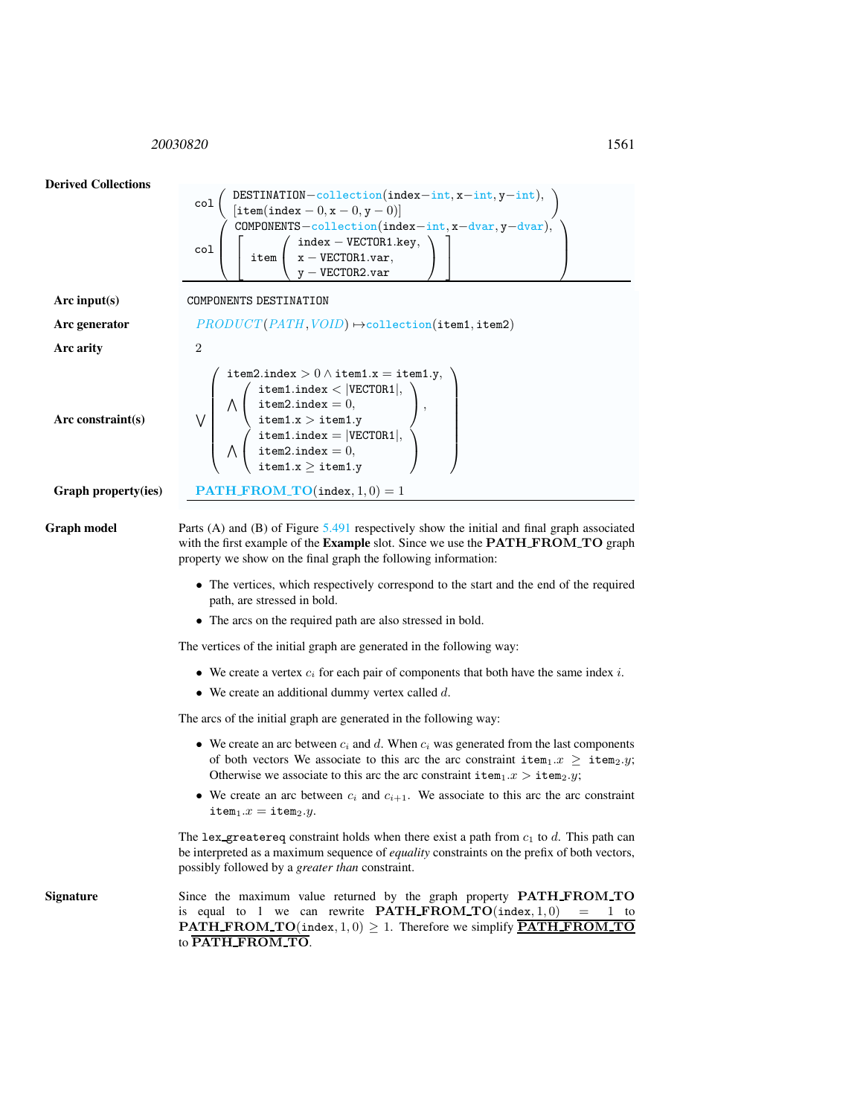<span id="page-3-0"></span><sup>20030820</sup> 1561



possibly followed by a *greater than* constraint. Signature Since the maximum value returned by the graph property **PATH\_FROM\_TO** is equal to 1 we can rewrite  $\textbf{PATH\_FROM\_TO}(\text{index}, 1, 0) = 1$  to **PATH\_FROM\_TO**(index,  $1, 0$ )  $\geq 1$ . Therefore we simplify **PATH\_FROM\_TO** 

to PATH FROM TO.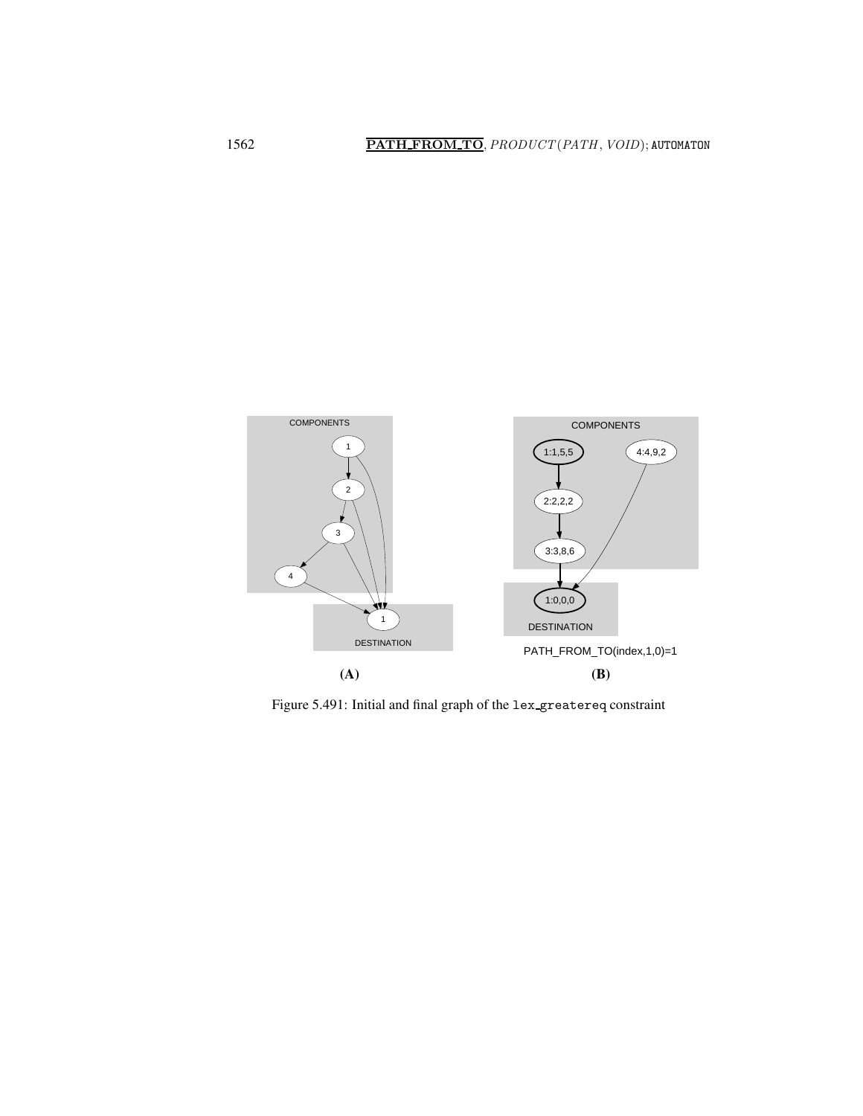

<span id="page-4-0"></span>Figure 5.491: Initial and final graph of the lex greatereq constraint